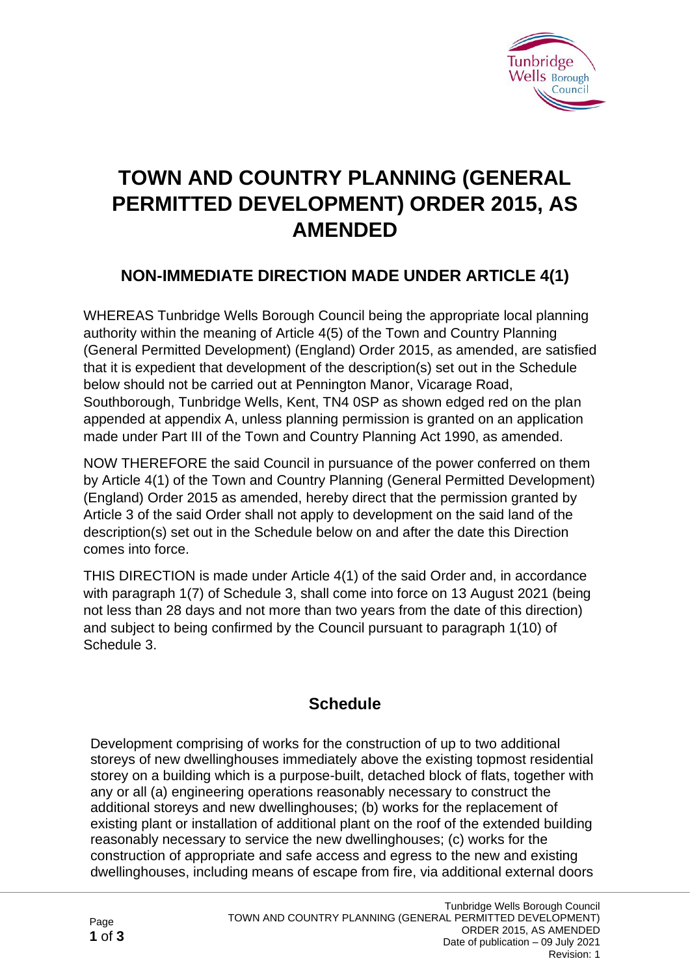

# **TOWN AND COUNTRY PLANNING (GENERAL PERMITTED DEVELOPMENT) ORDER 2015, AS AMENDED**

## **NON-IMMEDIATE DIRECTION MADE UNDER ARTICLE 4(1)**

WHEREAS Tunbridge Wells Borough Council being the appropriate local planning authority within the meaning of Article 4(5) of the Town and Country Planning (General Permitted Development) (England) Order 2015, as amended, are satisfied that it is expedient that development of the description(s) set out in the Schedule below should not be carried out at Pennington Manor, Vicarage Road, Southborough, Tunbridge Wells, Kent, TN4 0SP as shown edged red on the plan appended at appendix A, unless planning permission is granted on an application made under Part III of the Town and Country Planning Act 1990, as amended.

NOW THEREFORE the said Council in pursuance of the power conferred on them by Article 4(1) of the Town and Country Planning (General Permitted Development) (England) Order 2015 as amended, hereby direct that the permission granted by Article 3 of the said Order shall not apply to development on the said land of the description(s) set out in the Schedule below on and after the date this Direction comes into force.

THIS DIRECTION is made under Article 4(1) of the said Order and, in accordance with paragraph 1(7) of Schedule 3, shall come into force on 13 August 2021 (being not less than 28 days and not more than two years from the date of this direction) and subject to being confirmed by the Council pursuant to paragraph 1(10) of Schedule 3.

## **Schedule**

Development comprising of works for the construction of up to two additional storeys of new dwellinghouses immediately above the existing topmost residential storey on a building which is a purpose-built, detached block of flats, together with any or all (a) engineering operations reasonably necessary to construct the additional storeys and new dwellinghouses; (b) works for the replacement of existing plant or installation of additional plant on the roof of the extended building reasonably necessary to service the new dwellinghouses; (c) works for the construction of appropriate and safe access and egress to the new and existing dwellinghouses, including means of escape from fire, via additional external doors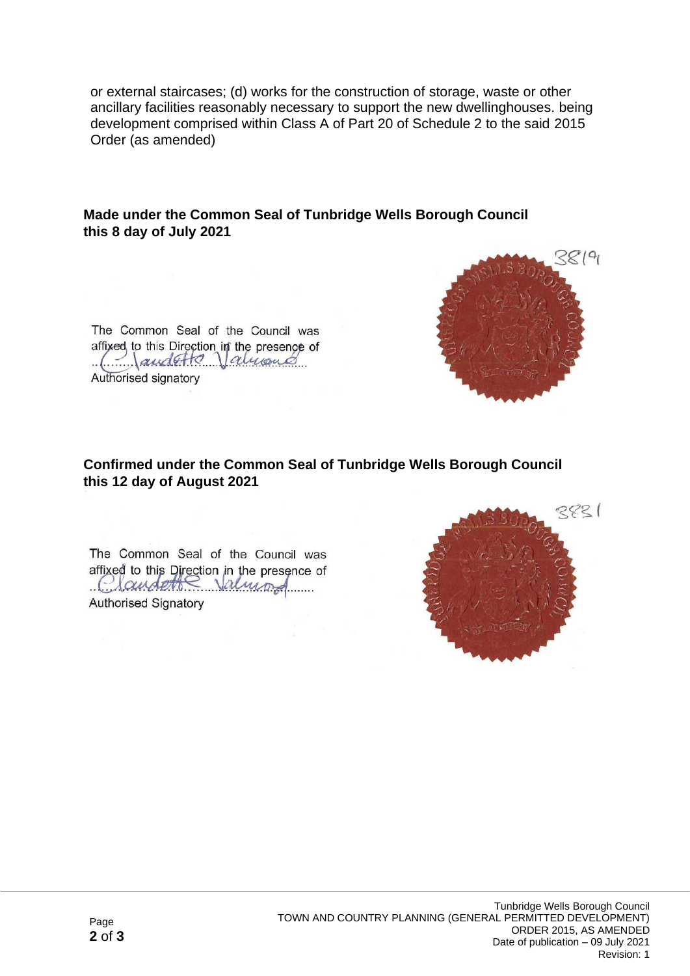or external staircases; (d) works for the construction of storage, waste or other ancillary facilities reasonably necessary to support the new dwellinghouses. being development comprised within Class A of Part 20 of Schedule 2 to the said 2015 Order (as amended)

#### **Made under the Common Seal of Tunbridge Wells Borough Council this 8 day of July 2021**



### **Confirmed under the Common Seal of Tunbridge Wells Borough Council this 12 day of August 2021**

The Common Seal of the Council was affixed to this Direction in the presence of Claudette Valmond **Authorised Signatory** 



 $819$